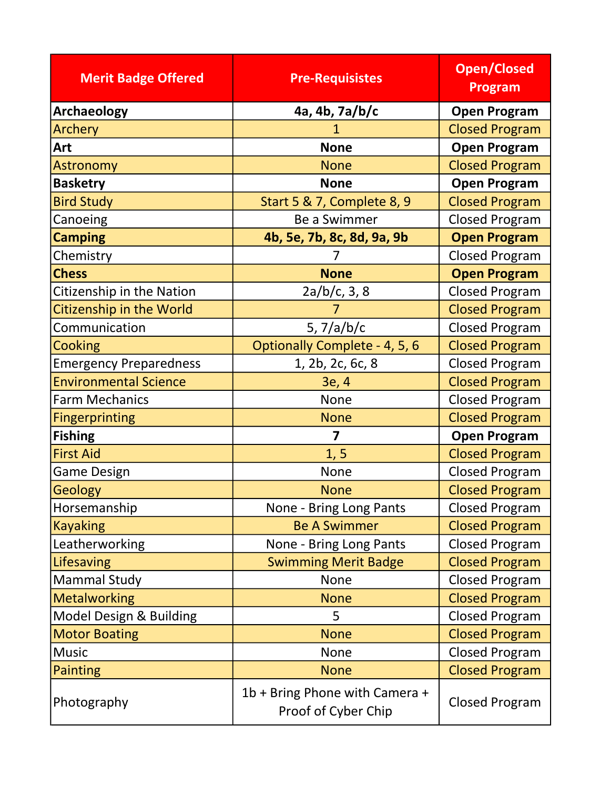| <b>Merit Badge Offered</b>      | <b>Pre-Requisistes</b>                                | <b>Open/Closed</b><br><b>Program</b> |
|---------------------------------|-------------------------------------------------------|--------------------------------------|
| <b>Archaeology</b>              | 4a, 4b, 7a/b/c                                        | <b>Open Program</b>                  |
| Archery                         |                                                       | <b>Closed Program</b>                |
| Art                             | <b>None</b>                                           | <b>Open Program</b>                  |
| <b>Astronomy</b>                | <b>None</b>                                           | <b>Closed Program</b>                |
| <b>Basketry</b>                 | <b>None</b>                                           | <b>Open Program</b>                  |
| <b>Bird Study</b>               | Start 5 & 7, Complete 8, 9                            | <b>Closed Program</b>                |
| Canoeing                        | Be a Swimmer                                          | <b>Closed Program</b>                |
| <b>Camping</b>                  | 4b, 5e, 7b, 8c, 8d, 9a, 9b                            | <b>Open Program</b>                  |
| Chemistry                       |                                                       | <b>Closed Program</b>                |
| <b>Chess</b>                    | <b>None</b>                                           | <b>Open Program</b>                  |
| Citizenship in the Nation       | 2a/b/c, 3, 8                                          | <b>Closed Program</b>                |
| <b>Citizenship in the World</b> |                                                       | <b>Closed Program</b>                |
| Communication                   | 5, $7/a/b/c$                                          | <b>Closed Program</b>                |
| Cooking                         | Optionally Complete - 4, 5, 6                         | <b>Closed Program</b>                |
| <b>Emergency Preparedness</b>   | 1, 2b, 2c, 6c, 8                                      | <b>Closed Program</b>                |
| <b>Environmental Science</b>    | 3e, 4                                                 | <b>Closed Program</b>                |
| <b>Farm Mechanics</b>           | None                                                  | <b>Closed Program</b>                |
| <b>Fingerprinting</b>           | <b>None</b>                                           | <b>Closed Program</b>                |
| <b>Fishing</b>                  | $\overline{\mathbf{z}}$                               | <b>Open Program</b>                  |
| <b>First Aid</b>                | 1, 5                                                  | <b>Closed Program</b>                |
| <b>Game Design</b>              | <b>None</b>                                           | <b>Closed Program</b>                |
| <b>Geology</b>                  | <b>None</b>                                           | <b>Closed Program</b>                |
| Horsemanship                    | None - Bring Long Pants                               | <b>Closed Program</b>                |
| <b>Kayaking</b>                 | <b>Be A Swimmer</b>                                   | <b>Closed Program</b>                |
| Leatherworking                  | None - Bring Long Pants                               | <b>Closed Program</b>                |
| Lifesaving                      | <b>Swimming Merit Badge</b>                           | <b>Closed Program</b>                |
| <b>Mammal Study</b>             | None                                                  | <b>Closed Program</b>                |
| <b>Metalworking</b>             | <b>None</b>                                           | <b>Closed Program</b>                |
| Model Design & Building         | 5                                                     | <b>Closed Program</b>                |
| <b>Motor Boating</b>            | <b>None</b>                                           | <b>Closed Program</b>                |
| <b>Music</b>                    | <b>None</b>                                           | <b>Closed Program</b>                |
| <b>Painting</b>                 | <b>None</b>                                           | <b>Closed Program</b>                |
| Photography                     | 1b + Bring Phone with Camera +<br>Proof of Cyber Chip | <b>Closed Program</b>                |